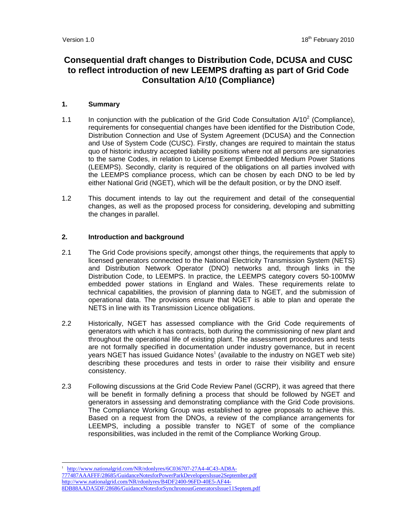# **Consequential draft changes to Distribution Code, DCUSA and CUSC to reflect introduction of new LEEMPS drafting as part of Grid Code Consultation A/10 (Compliance)**

# **1. Summary**

- 1.1 In conjunction with the publication of the Grid Code Consultation  $A/10^2$  (Compliance), requirements for consequential changes have been identified for the Distribution Code, Distribution Connection and Use of System Agreement (DCUSA) and the Connection and Use of System Code (CUSC). Firstly, changes are required to maintain the status quo of historic industry accepted liability positions where not all persons are signatories to the same Codes, in relation to License Exempt Embedded Medium Power Stations (LEEMPS). Secondly, clarity is required of the obligations on all parties involved with the LEEMPS compliance process, which can be chosen by each DNO to be led by either National Grid (NGET), which will be the default position, or by the DNO itself.
- 1.2 This document intends to lay out the requirement and detail of the consequential changes, as well as the proposed process for considering, developing and submitting the changes in parallel.

## **2. Introduction and background**

- 2.1 The Grid Code provisions specify, amongst other things, the requirements that apply to licensed generators connected to the National Electricity Transmission System (NETS) and Distribution Network Operator (DNO) networks and, through links in the Distribution Code, to LEEMPS. In practice, the LEEMPS category covers 50-100MW embedded power stations in England and Wales. These requirements relate to technical capabilities, the provision of planning data to NGET, and the submission of operational data. The provisions ensure that NGET is able to plan and operate the NETS in line with its Transmission Licence obligations.
- 2.2 Historically, NGET has assessed compliance with the Grid Code requirements of generators with which it has contracts, both during the commissioning of new plant and throughout the operational life of existing plant. The assessment procedures and tests are not formally specified in documentation under industry governance, but in recent years NGET has issued Guidance Notes $^1$  (available to the industry on NGET web site) describing these procedures and tests in order to raise their visibility and ensure consistency.
- 2.3 Following discussions at the Grid Code Review Panel (GCRP), it was agreed that there will be benefit in formally defining a process that should be followed by NGET and generators in assessing and demonstrating compliance with the Grid Code provisions. The Compliance Working Group was established to agree proposals to achieve this. Based on a request from the DNOs, a review of the compliance arrangements for LEEMPS, including a possible transfer to NGET of some of the compliance responsibilities, was included in the remit of the Compliance Working Group.

 1 http://www.nationalgrid.com/NR/rdonlyres/6C036707-27A4-4C43-AD8A-777487AAAFFF/28685/GuidanceNotesforPowerParkDevelopersIssue2September.pdf http://www.nationalgrid.com/NR/rdonlyres/B4DF2400-96FD-40E5-AF44- 8DB88AADA5DF/28686/GuidanceNotesforSynchronousGeneratorsIssue11Septem.pdf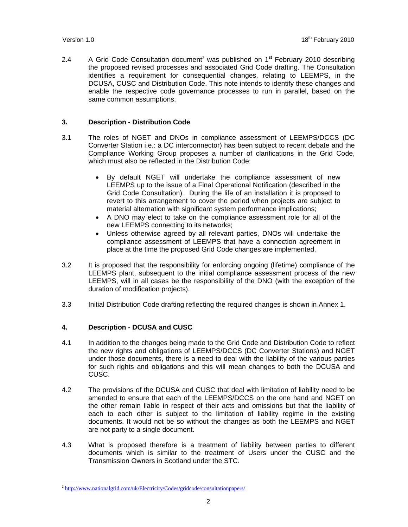2.4 A Grid Code Consultation document<sup>2</sup> was published on  $1<sup>st</sup>$  February 2010 describing the proposed revised processes and associated Grid Code drafting. The Consultation identifies a requirement for consequential changes, relating to LEEMPS, in the DCUSA, CUSC and Distribution Code. This note intends to identify these changes and enable the respective code governance processes to run in parallel, based on the same common assumptions.

## **3. Description - Distribution Code**

- 3.1 The roles of NGET and DNOs in compliance assessment of LEEMPS/DCCS (DC Converter Station i.e.: a DC interconnector) has been subject to recent debate and the Compliance Working Group proposes a number of clarifications in the Grid Code, which must also be reflected in the Distribution Code:
	- By default NGET will undertake the compliance assessment of new LEEMPS up to the issue of a Final Operational Notification (described in the Grid Code Consultation). During the life of an installation it is proposed to revert to this arrangement to cover the period when projects are subject to material alternation with significant system performance implications;
	- A DNO may elect to take on the compliance assessment role for all of the new LEEMPS connecting to its networks;
	- Unless otherwise agreed by all relevant parties, DNOs will undertake the compliance assessment of LEEMPS that have a connection agreement in place at the time the proposed Grid Code changes are implemented.
- 3.2 It is proposed that the responsibility for enforcing ongoing (lifetime) compliance of the LEEMPS plant, subsequent to the initial compliance assessment process of the new LEEMPS, will in all cases be the responsibility of the DNO (with the exception of the duration of modification projects).
- 3.3 Initial Distribution Code drafting reflecting the required changes is shown in Annex 1.

## **4. Description - DCUSA and CUSC**

- 4.1 In addition to the changes being made to the Grid Code and Distribution Code to reflect the new rights and obligations of LEEMPS/DCCS (DC Converter Stations) and NGET under those documents, there is a need to deal with the liability of the various parties for such rights and obligations and this will mean changes to both the DCUSA and CUSC.
- 4.2 The provisions of the DCUSA and CUSC that deal with limitation of liability need to be amended to ensure that each of the LEEMPS/DCCS on the one hand and NGET on the other remain liable in respect of their acts and omissions but that the liability of each to each other is subject to the limitation of liability regime in the existing documents. It would not be so without the changes as both the LEEMPS and NGET are not party to a single document.
- 4.3 What is proposed therefore is a treatment of liability between parties to different documents which is similar to the treatment of Users under the CUSC and the Transmission Owners in Scotland under the STC.

 $\overline{a}$ <sup>2</sup> http://www.nationalgrid.com/uk/Electricity/Codes/gridcode/consultationpapers/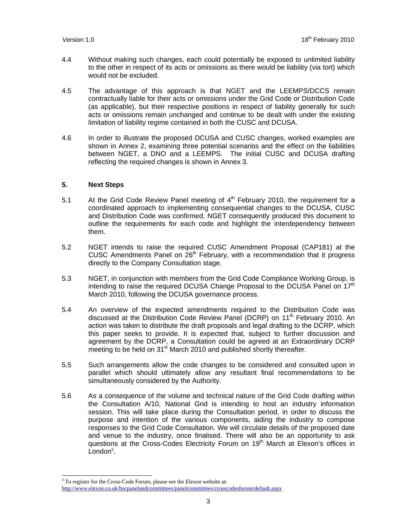- 4.4 Without making such changes, each could potentially be exposed to unlimited liability to the other in respect of its acts or omissions as there would be liability (via tort) which would not be excluded.
- 4.5 The advantage of this approach is that NGET and the LEEMPS/DCCS remain contractually liable for their acts or omissions under the Grid Code or Distribution Code (as applicable), but their respective positions in respect of liability generally for such acts or omissions remain unchanged and continue to be dealt with under the existing limitation of liability regime contained in both the CUSC and DCUSA.
- 4.6 In order to illustrate the proposed DCUSA and CUSC changes, worked examples are shown in Annex 2, examining three potential scenarios and the effect on the liabilities between NGET, a DNO and a LEEMPS. The initial CUSC and DCUSA drafting reflecting the required changes is shown in Annex 3.

### **5. Next Steps**

 $\overline{a}$ 

- 5.1 At the Grid Code Review Panel meeting of  $4<sup>th</sup>$  February 2010, the requirement for a coordinated approach to implementing consequential changes to the DCUSA, CUSC and Distribution Code was confirmed. NGET consequently produced this document to outline the requirements for each code and highlight the interdependency between them.
- 5.2 NGET intends to raise the required CUSC Amendment Proposal (CAP181) at the CUSC Amendments Panel on  $26<sup>th</sup>$  February, with a recommendation that it progress directly to the Company Consultation stage.
- 5.3 NGET, in conjunction with members from the Grid Code Compliance Working Group, is intending to raise the required DCUSA Change Proposal to the DCUSA Panel on  $17<sup>th</sup>$ March 2010, following the DCUSA governance process.
- 5.4 An overview of the expected amendments required to the Distribution Code was discussed at the Distribution Code Review Panel (DCRP) on 11<sup>th</sup> February 2010. An action was taken to distribute the draft proposals and legal drafting to the DCRP, which this paper seeks to provide. It is expected that, subject to further discussion and agreement by the DCRP, a Consultation could be agreed at an Extraordinary DCRP meeting to be held on 31<sup>st</sup> March 2010 and published shortly thereafter.
- 5.5 Such arrangements allow the code changes to be considered and consulted upon in parallel which should ultimately allow any resultant final recommendations to be simultaneously considered by the Authority.
- 5.6 As a consequence of the volume and technical nature of the Grid Code drafting within the Consultation A/10, National Grid is intending to host an industry information session. This will take place during the Consultation period, in order to discuss the purpose and intention of the various components, aiding the industry to compose responses to the Grid Code Consultation. We will circulate details of the proposed date and venue to the industry, once finalised. There will also be an opportunity to ask questions at the Cross-Codes Electricity Forum on 19<sup>th</sup> March at Elexon's offices in London<sup>3</sup>.

 $3$  To register for the Cross-Code Forum, please see the Elexon website at:

http://www.elexon.co.uk/bscpanelandcommittees/panelcommittees/crosscodesforum/default.aspx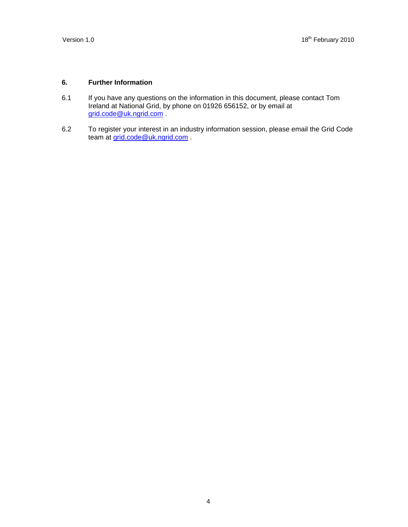# **6. Further Information**

- 6.1 If you have any questions on the information in this document, please contact Tom Ireland at National Grid, by phone on 01926 656152, or by email at grid.code@uk.ngrid.com .
- 6.2 To register your interest in an industry information session, please email the Grid Code team at grid.code@uk.ngrid.com .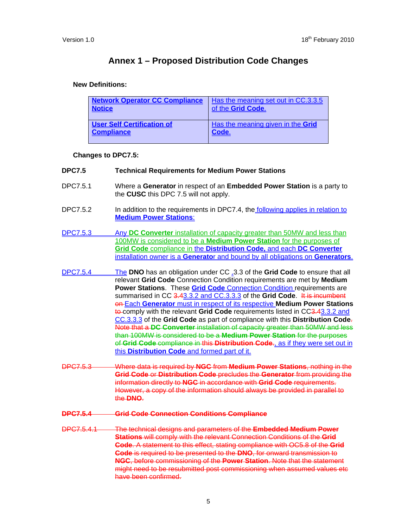# **Annex 1 – Proposed Distribution Code Changes**

## **New Definitions:**

| <b>Network Operator CC Compliance</b> | Has the meaning set out in CC.3.3.5 |
|---------------------------------------|-------------------------------------|
| <b>Notice</b>                         | of the Grid Code.                   |
| <b>User Self Certification of</b>     | Has the meaning given in the Grid   |
| <b>Compliance</b>                     | Code.                               |

## **Changes to DPC7.5:**

## **DPC7.5 Technical Requirements for Medium Power Stations**

- DPC7.5.1 Where a **Generator** in respect of an **Embedded Power Station** is a party to the **CUSC** this DPC 7.5 will not apply.
- DPC7.5.2 In addition to the requirements in DPC7.4, the following applies in relation to **Medium Power Stations**:
- DPC7.5.3 Any **DC Converter** installation of capacity greater than 50MW and less than 100MW is considered to be a **Medium Power Station** for the purposes of **Grid Code** compliance in the **Distribution Code,** and each **DC Converter**  installation owner is a **Generato**r and bound by all obligations on **Generators**.
- DPC7.5.4 The **DNO** has an obligation under CC .3.3 of the **Grid Code** to ensure that all relevant **Grid Code** Connection Condition requirements are met by **Medium**  Power Stations. These **Grid Code** Connection Condition requirements are summarised in CC 3.43.3.2 and CC.3.3.3 of the Grid Code. It is incumbent on Each **Generator** must in respect of its respective **Medium Power Stations** to comply with the relevant Grid Code requirements listed in CC3.43.3.2 and CC.3.3.3 of the **Grid Code** as part of compliance with this **Distribution Code**. Note that a **DC Converter** installation of capacity greater than 50MW and less than 100MW is considered to be a **Medium Power Station** for the purposes of **Grid Code** compliance in this **Distribution Code**., as if they were set out in this **Distribution Code** and formed part of it.
- DPC7.5.3 Where data is required by **NGC** from **Medium Power Stations**, nothing in the **Grid Code** or **Distribution Code** precludes the **Generator** from providing the information directly to **NGC** in accordance with **Grid Code** requirements. However, a copy of the information should always be provided in parallel to the **DNO**.

## **DPC7.5.4 Grid Code Connection Conditions Compliance**

DPC7.5.4.1 The technical designs and parameters of the **Embedded Medium Power Stations** will comply with the relevant Connection Conditions of the **Grid Code**. A statement to this effect, stating compliance with OC5.8 of the **Grid Code** is required to be presented to the **DNO**, for onward transmission to **NGC**, before commissioning of the **Power Station**. Note that the statement might need to be resubmitted post commissioning when assumed values etc have been confirmed.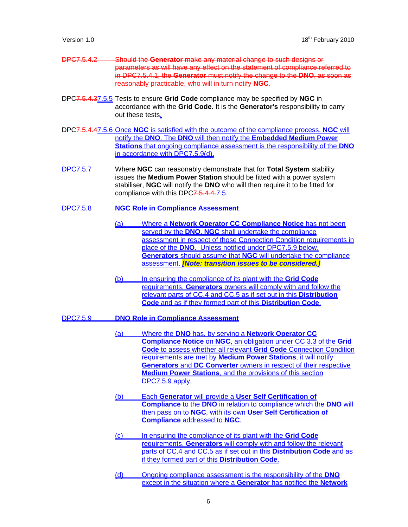| DDC7 $542$           | -Should the Generator make any material change to such designs or             |
|----------------------|-------------------------------------------------------------------------------|
| <del>510.0.1.2</del> |                                                                               |
|                      | parameters as will have any effect on the statement of compliance referred to |
|                      | in DPC7.5.4.1, the Generator must notify the change to the DNO, as soon as    |
|                      | reasonably practicable, who will in turn notify NGC.                          |

- DPC7.5.4.37.5.5 Tests to ensure **Grid Code** compliance may be specified by **NGC** in accordance with the **Grid Code**. It is the **Generator's** responsibility to carry out these tests.
- DPC7.5.4.47.5.6 Once **NGC** is satisfied with the outcome of the compliance process, **NGC** will notify the **DNO**. The **DNO** will then notify the **Embedded Medium Power Stations** that ongoing compliance assessment is the responsibility of the **DNO** in accordance with DPC7.5.9(d).
- DPC7.5.7 Where **NGC** can reasonably demonstrate that for **Total System** stability issues the **Medium Power Station** should be fitted with a power system stabiliser, **NGC** will notify the **DNO** who will then require it to be fitted for compliance with this DPC7.5.4.4.7.5.
- DPC7.5.8 **NGC Role in Compliance Assessment**
	- (a) Where a **Network Operator CC Compliance Notice** has not been served by the **DNO**, **NGC** shall undertake the compliance assessment in respect of those Connection Condition requirements in place of the **DNO**. Unless notified under DPC7.5.9 below, **Generators** should assume that **NGC** will undertake the compliance assessment. *[Note: transition issues to be considered.]*
	- (b) In ensuring the compliance of its plant with the **Grid Code** requirements, **Generators** owners will comply with and follow the relevant parts of CC.4 and CC.5 as if set out in this **Distribution Code** and as if they formed part of this **Distribution Code**.

### DPC7.5.9 **DNO Role in Compliance Assessment**

- (a) Where the **DNO** has, by serving a **Network Operator CC Compliance Notice** on **NGC**, an obligation under CC 3.3 of the **Grid Code** to assess whether all relevant **Grid Code** Connection Condition requirements are met by **Medium Power Stations**, it will notify **Generators** and **DC Converter** owners in respect of their respective **Medium Power Stations**, and the provisions of this section DPC7.5.9 apply.
- (b) Each **Generator** will provide a **User Self Certification of Compliance** to the **DNO** in relation to compliance which the **DNO** will then pass on to **NGC**, with its own **User Self Certification of Compliance** addressed to **NGC**.
- (c) In ensuring the compliance of its plant with the **Grid Code** requirements, **Generators** will comply with and follow the relevant parts of CC.4 and CC.5 as if set out in this **Distribution Code** and as if they formed part of this **Distribution Code**.
- (d) Ongoing compliance assessment is the responsibility of the **DNO** except in the situation where a **Generator** has notified the **Network**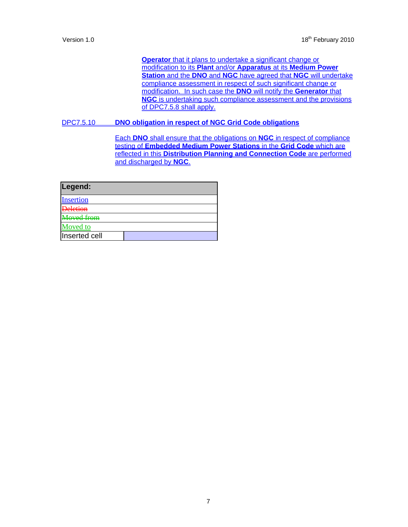**Operator** that it plans to undertake a significant change or modification to its **Plant** and/or **Apparatus** at its **Medium Power Station** and the **DNO** and **NGC** have agreed that **NGC** will undertake compliance assessment in respect of such significant change or modification. In such case the **DNO** will notify the **Generator** that **NGC** is undertaking such compliance assessment and the provisions of DPC7.5.8 shall apply.

## DPC7.5.10 **DNO obligation in respect of NGC Grid Code obligations**

Each **DNO** shall ensure that the obligations on **NGC** in respect of compliance testing of **Embedded Medium Power Stations** in the **Grid Code** which are reflected in this **Distribution Planning and Connection Code** are performed and discharged by **NGC**.

| Legend:           |  |
|-------------------|--|
| <b>Insertion</b>  |  |
| <b>Deletion</b>   |  |
| <b>Moved from</b> |  |
| Moved to          |  |
| Inserted cell     |  |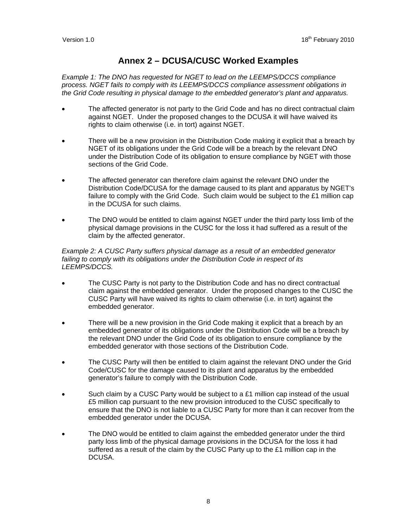# **Annex 2 – DCUSA/CUSC Worked Examples**

*Example 1: The DNO has requested for NGET to lead on the LEEMPS/DCCS compliance process. NGET fails to comply with its LEEMPS/DCCS compliance assessment obligations in the Grid Code resulting in physical damage to the embedded generator's plant and apparatus.* 

- The affected generator is not party to the Grid Code and has no direct contractual claim against NGET. Under the proposed changes to the DCUSA it will have waived its rights to claim otherwise (i.e. in tort) against NGET.
- There will be a new provision in the Distribution Code making it explicit that a breach by NGET of its obligations under the Grid Code will be a breach by the relevant DNO under the Distribution Code of its obligation to ensure compliance by NGET with those sections of the Grid Code.
- The affected generator can therefore claim against the relevant DNO under the Distribution Code/DCUSA for the damage caused to its plant and apparatus by NGET's failure to comply with the Grid Code. Such claim would be subject to the £1 million cap in the DCUSA for such claims.
- The DNO would be entitled to claim against NGET under the third party loss limb of the physical damage provisions in the CUSC for the loss it had suffered as a result of the claim by the affected generator.

### *Example 2: A CUSC Party suffers physical damage as a result of an embedded generator failing to comply with its obligations under the Distribution Code in respect of its LEEMPS/DCCS.*

- The CUSC Party is not party to the Distribution Code and has no direct contractual claim against the embedded generator. Under the proposed changes to the CUSC the CUSC Party will have waived its rights to claim otherwise (i.e. in tort) against the embedded generator.
- There will be a new provision in the Grid Code making it explicit that a breach by an embedded generator of its obligations under the Distribution Code will be a breach by the relevant DNO under the Grid Code of its obligation to ensure compliance by the embedded generator with those sections of the Distribution Code.
- The CUSC Party will then be entitled to claim against the relevant DNO under the Grid Code/CUSC for the damage caused to its plant and apparatus by the embedded generator's failure to comply with the Distribution Code.
- Such claim by a CUSC Party would be subject to a £1 million cap instead of the usual £5 million cap pursuant to the new provision introduced to the CUSC specifically to ensure that the DNO is not liable to a CUSC Party for more than it can recover from the embedded generator under the DCUSA.
- The DNO would be entitled to claim against the embedded generator under the third party loss limb of the physical damage provisions in the DCUSA for the loss it had suffered as a result of the claim by the CUSC Party up to the £1 million cap in the DCUSA.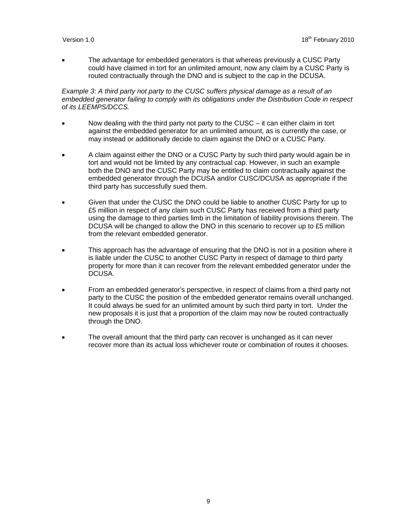• The advantage for embedded generators is that whereas previously a CUSC Party could have claimed in tort for an unlimited amount, now any claim by a CUSC Party is routed contractually through the DNO and is subject to the cap in the DCUSA.

*Example 3: A third party not party to the CUSC suffers physical damage as a result of an embedded generator failing to comply with its obligations under the Distribution Code in respect of its LEEMPS/DCCS.*

- Now dealing with the third party not party to the CUSC  $-$  it can either claim in tort against the embedded generator for an unlimited amount, as is currently the case, or may instead or additionally decide to claim against the DNO or a CUSC Party.
- A claim against either the DNO or a CUSC Party by such third party would again be in tort and would not be limited by any contractual cap. However, in such an example both the DNO and the CUSC Party may be entitled to claim contractually against the embedded generator through the DCUSA and/or CUSC/DCUSA as appropriate if the third party has successfully sued them.
- Given that under the CUSC the DNO could be liable to another CUSC Party for up to £5 million in respect of any claim such CUSC Party has received from a third party using the damage to third parties limb in the limitation of liability provisions therein. The DCUSA will be changed to allow the DNO in this scenario to recover up to £5 million from the relevant embedded generator.
- This approach has the advantage of ensuring that the DNO is not in a position where it is liable under the CUSC to another CUSC Party in respect of damage to third party property for more than it can recover from the relevant embedded generator under the DCUSA.
- From an embedded generator's perspective, in respect of claims from a third party not party to the CUSC the position of the embedded generator remains overall unchanged. It could always be sued for an unlimited amount by such third party in tort. Under the new proposals it is just that a proportion of the claim may now be routed contractually through the DNO.
- The overall amount that the third party can recover is unchanged as it can never recover more than its actual loss whichever route or combination of routes it chooses.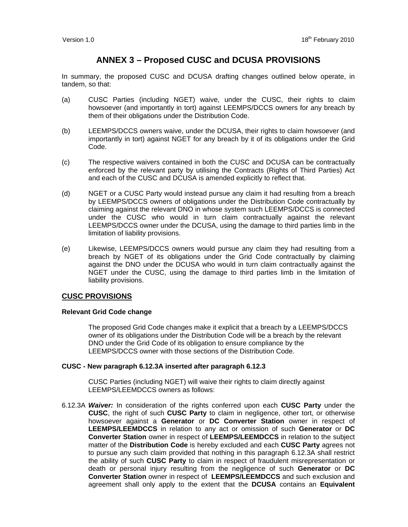# **ANNEX 3 – Proposed CUSC and DCUSA PROVISIONS**

In summary, the proposed CUSC and DCUSA drafting changes outlined below operate, in tandem, so that:

- (a) CUSC Parties (including NGET) waive, under the CUSC, their rights to claim howsoever (and importantly in tort) against LEEMPS/DCCS owners for any breach by them of their obligations under the Distribution Code.
- (b) LEEMPS/DCCS owners waive, under the DCUSA, their rights to claim howsoever (and importantly in tort) against NGET for any breach by it of its obligations under the Grid Code.
- (c) The respective waivers contained in both the CUSC and DCUSA can be contractually enforced by the relevant party by utilising the Contracts (Rights of Third Parties) Act and each of the CUSC and DCUSA is amended explicitly to reflect that.
- (d) NGET or a CUSC Party would instead pursue any claim it had resulting from a breach by LEEMPS/DCCS owners of obligations under the Distribution Code contractually by claiming against the relevant DNO in whose system such LEEMPS/DCCS is connected under the CUSC who would in turn claim contractually against the relevant LEEMPS/DCCS owner under the DCUSA, using the damage to third parties limb in the limitation of liability provisions.
- (e) Likewise, LEEMPS/DCCS owners would pursue any claim they had resulting from a breach by NGET of its obligations under the Grid Code contractually by claiming against the DNO under the DCUSA who would in turn claim contractually against the NGET under the CUSC, using the damage to third parties limb in the limitation of liability provisions.

# **CUSC PROVISIONS**

## **Relevant Grid Code change**

 The proposed Grid Code changes make it explicit that a breach by a LEEMPS/DCCS owner of its obligations under the Distribution Code will be a breach by the relevant DNO under the Grid Code of its obligation to ensure compliance by the LEEMPS/DCCS owner with those sections of the Distribution Code.

## **CUSC - New paragraph 6.12.3A inserted after paragraph 6.12.3**

 CUSC Parties (including NGET) will waive their rights to claim directly against LEEMPS/LEEMDCCS owners as follows:

6.12.3A *Waiver:* In consideration of the rights conferred upon each **CUSC Party** under the **CUSC**, the right of such **CUSC Party** to claim in negligence, other tort, or otherwise howsoever against a **Generator** or **DC Converter Station** owner in respect of **LEEMPS/LEEMDCCS** in relation to any act or omission of such **Generator** or **DC Converter Station** owner in respect of **LEEMPS/LEEMDCCS** in relation to the subject matter of the **Distribution Code** is hereby excluded and each **CUSC Party** agrees not to pursue any such claim provided that nothing in this paragraph 6.12.3A shall restrict the ability of such **CUSC Party** to claim in respect of fraudulent misrepresentation or death or personal injury resulting from the negligence of such **Generator** or **DC Converter Station** owner in respect of **LEEMPS/LEEMDCCS** and such exclusion and agreement shall only apply to the extent that the **DCUSA** contains an **Equivalent**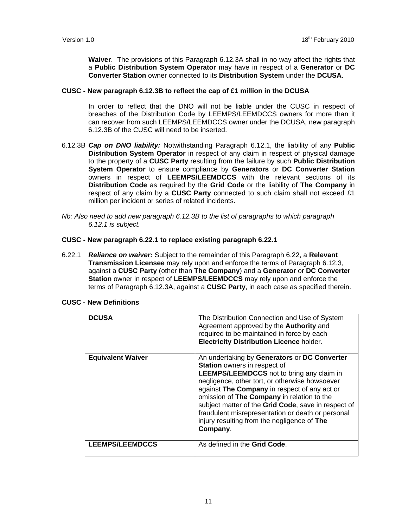**Waiver**. The provisions of this Paragraph 6.12.3A shall in no way affect the rights that a **Public Distribution System Operator** may have in respect of a **Generator** or **DC Converter Station** owner connected to its **Distribution System** under the **DCUSA**.

### **CUSC - New paragraph 6.12.3B to reflect the cap of £1 million in the DCUSA**

 In order to reflect that the DNO will not be liable under the CUSC in respect of breaches of the Distribution Code by LEEMPS/LEEMDCCS owners for more than it can recover from such LEEMPS/LEEMDCCS owner under the DCUSA, new paragraph 6.12.3B of the CUSC will need to be inserted.

- 6.12.3B *Cap on DNO liability:* Notwithstanding Paragraph 6.12.1, the liability of any **Public Distribution System Operator** in respect of any claim in respect of physical damage to the property of a **CUSC Party** resulting from the failure by such **Public Distribution System Operator** to ensure compliance by **Generators** or **DC Converter Station** owners in respect of **LEEMPS/LEEMDCCS** with the relevant sections of its **Distribution Code** as required by the **Grid Code** or the liability of **The Company** in respect of any claim by a **CUSC Party** connected to such claim shall not exceed £1 million per incident or series of related incidents.
- *Nb: Also need to add new paragraph 6.12.3B to the list of paragraphs to which paragraph 6.12.1 is subject.*

### **CUSC - New paragraph 6.22.1 to replace existing paragraph 6.22.1**

6.22.1 *Reliance on waiver:* Subject to the remainder of this Paragraph 6.22, a **Relevant Transmission Licensee** may rely upon and enforce the terms of Paragraph 6.12.3, against a **CUSC Party** (other than **The Company**) and a **Generator** or **DC Converter Station** owner in respect of **LEEMPS/LEEMDCCS** may rely upon and enforce the terms of Paragraph 6.12.3A, against a **CUSC Party**, in each case as specified therein.

| <b>DCUSA</b>             | The Distribution Connection and Use of System<br>Agreement approved by the <b>Authority</b> and<br>required to be maintained in force by each<br><b>Electricity Distribution Licence holder.</b>                                                                                                                                                                                                                                                               |
|--------------------------|----------------------------------------------------------------------------------------------------------------------------------------------------------------------------------------------------------------------------------------------------------------------------------------------------------------------------------------------------------------------------------------------------------------------------------------------------------------|
| <b>Equivalent Waiver</b> | An undertaking by Generators or DC Converter<br><b>Station</b> owners in respect of<br><b>LEEMPS/LEEMDCCS</b> not to bring any claim in<br>negligence, other tort, or otherwise howsoever<br>against The Company in respect of any act or<br>omission of The Company in relation to the<br>subject matter of the Grid Code, save in respect of<br>fraudulent misrepresentation or death or personal<br>injury resulting from the negligence of The<br>Company. |
| <b>LEEMPS/LEEMDCCS</b>   | As defined in the Grid Code.                                                                                                                                                                                                                                                                                                                                                                                                                                   |

### **CUSC - New Definitions**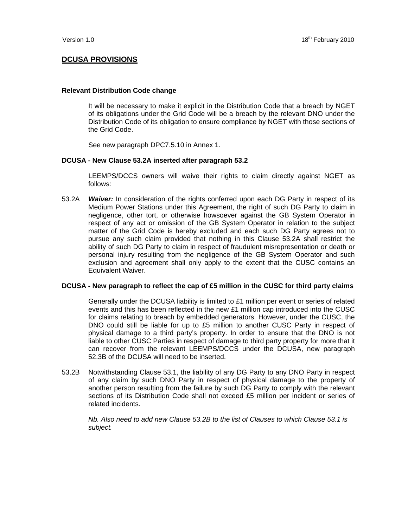# **DCUSA PROVISIONS**

### **Relevant Distribution Code change**

It will be necessary to make it explicit in the Distribution Code that a breach by NGET of its obligations under the Grid Code will be a breach by the relevant DNO under the Distribution Code of its obligation to ensure compliance by NGET with those sections of the Grid Code.

See new paragraph DPC7.5.10 in Annex 1.

### **DCUSA - New Clause 53.2A inserted after paragraph 53.2**

 LEEMPS/DCCS owners will waive their rights to claim directly against NGET as follows:

53.2A *Waiver:* In consideration of the rights conferred upon each DG Party in respect of its Medium Power Stations under this Agreement, the right of such DG Party to claim in negligence, other tort, or otherwise howsoever against the GB System Operator in respect of any act or omission of the GB System Operator in relation to the subject matter of the Grid Code is hereby excluded and each such DG Party agrees not to pursue any such claim provided that nothing in this Clause 53.2A shall restrict the ability of such DG Party to claim in respect of fraudulent misrepresentation or death or personal injury resulting from the negligence of the GB System Operator and such exclusion and agreement shall only apply to the extent that the CUSC contains an Equivalent Waiver.

### **DCUSA - New paragraph to reflect the cap of £5 million in the CUSC for third party claims**

 Generally under the DCUSA liability is limited to £1 million per event or series of related events and this has been reflected in the new £1 million cap introduced into the CUSC for claims relating to breach by embedded generators. However, under the CUSC, the DNO could still be liable for up to £5 million to another CUSC Party in respect of physical damage to a third party's property. In order to ensure that the DNO is not liable to other CUSC Parties in respect of damage to third party property for more that it can recover from the relevant LEEMPS/DCCS under the DCUSA, new paragraph 52.3B of the DCUSA will need to be inserted.

53.2B Notwithstanding Clause 53.1, the liability of any DG Party to any DNO Party in respect of any claim by such DNO Party in respect of physical damage to the property of another person resulting from the failure by such DG Party to comply with the relevant sections of its Distribution Code shall not exceed £5 million per incident or series of related incidents.

*Nb. Also need to add new Clause 53.2B to the list of Clauses to which Clause 53.1 is subject.*